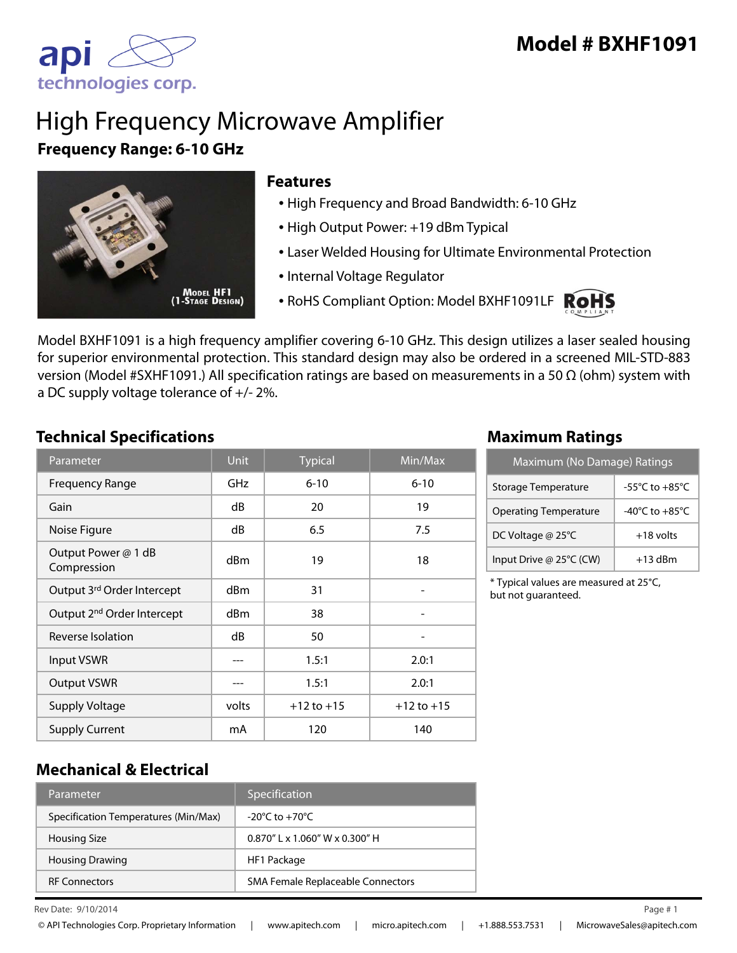

# High Frequency Microwave Amplifier **Frequency Range: 6-10 GHz**



#### **Features**

- High Frequency and Broad Bandwidth: 6-10 GHz
- High Output Power: +19 dBm Typical
- Laser Welded Housing for Ultimate Environmental Protection
- Internal Voltage Regulator
- RoHS Compliant Option: Model BXHF1091LF ROHS



Model BXHF1091 is a high frequency amplifier covering 6-10 GHz. This design utilizes a laser sealed housing for superior environmental protection. This standard design may also be ordered in a screened MIL-STD-883 version (Model #SXHF1091.) All specification ratings are based on measurements in a 50 Ω (ohm) system with a DC supply voltage tolerance of +/- 2%.

#### **Technical Specifications Maximum Ratings**

| Parameter                              | <b>Unit</b> | <b>Typical</b> | Min/Max        |
|----------------------------------------|-------------|----------------|----------------|
| <b>Frequency Range</b>                 | GHz         | $6 - 10$       | $6 - 10$       |
| Gain                                   | dB          | 20             | 19             |
| Noise Figure                           | dB          | 6.5            | 7.5            |
| Output Power @ 1 dB<br>Compression     | dBm         | 19             | 18             |
| Output 3rd Order Intercept             | dBm         | 31             |                |
| Output 2 <sup>nd</sup> Order Intercept | dBm         | 38             |                |
| Reverse Isolation                      | dB          | 50             |                |
| <b>Input VSWR</b>                      |             | 1.5:1          | 2.0:1          |
| <b>Output VSWR</b>                     |             | 1.5:1          | 2.0:1          |
| <b>Supply Voltage</b>                  | volts       | $+12$ to $+15$ | $+12$ to $+15$ |
| <b>Supply Current</b>                  | mA          | 120            | 140            |

| Maximum (No Damage) Ratings  |                                      |  |
|------------------------------|--------------------------------------|--|
| Storage Temperature          | -55 $^{\circ}$ C to +85 $^{\circ}$ C |  |
| <b>Operating Temperature</b> | -40 $^{\circ}$ C to +85 $^{\circ}$ C |  |
| DC Voltage @ 25°C            | $+18$ volts                          |  |
| Input Drive @ 25°C (CW)      | $+13$ dBm                            |  |

\* Typical values are measured at 25°C, but not guaranteed.

### **Mechanical & Electrical**

| Parameter                            | Specification                      |
|--------------------------------------|------------------------------------|
| Specification Temperatures (Min/Max) | $-20^{\circ}$ C to $+70^{\circ}$ C |
| <b>Housing Size</b>                  | $0.870''$   x 1.060" W x 0.300" H  |
| <b>Housing Drawing</b>               | HF1 Package                        |
| <b>RF Connectors</b>                 | SMA Female Replaceable Connectors  |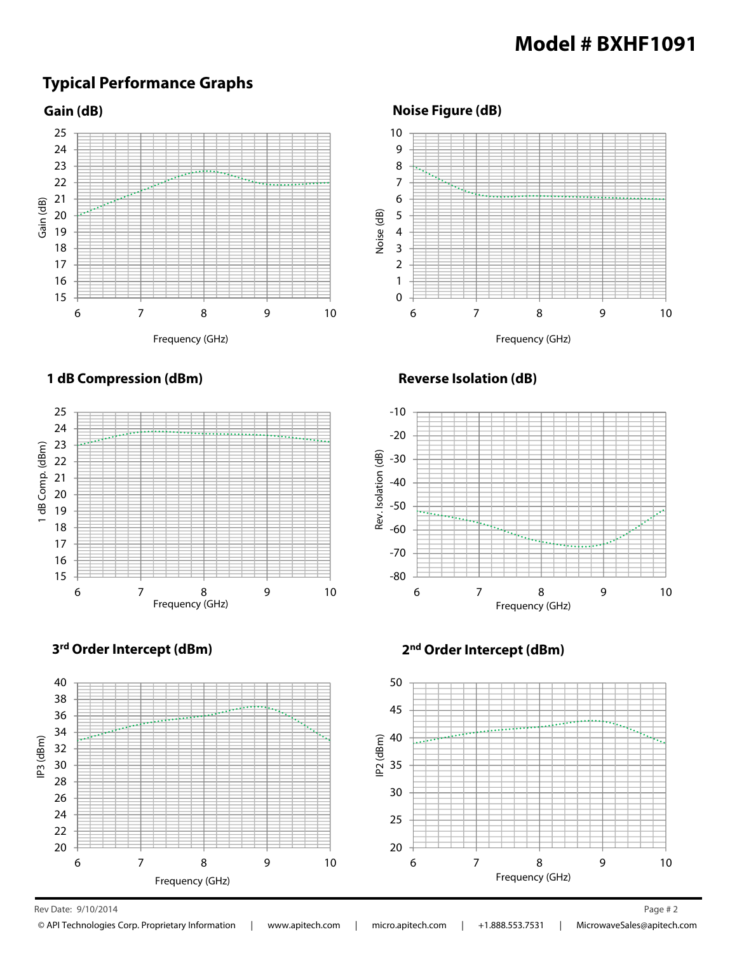## **Model # BXHF1091**

### **Typical Performance Graphs**





**Noise Figure (dB)**



**1 dB Compression (dBm)**



**Reverse Isolation (dB)**









Rev Date: 9/10/2014 Page # 2